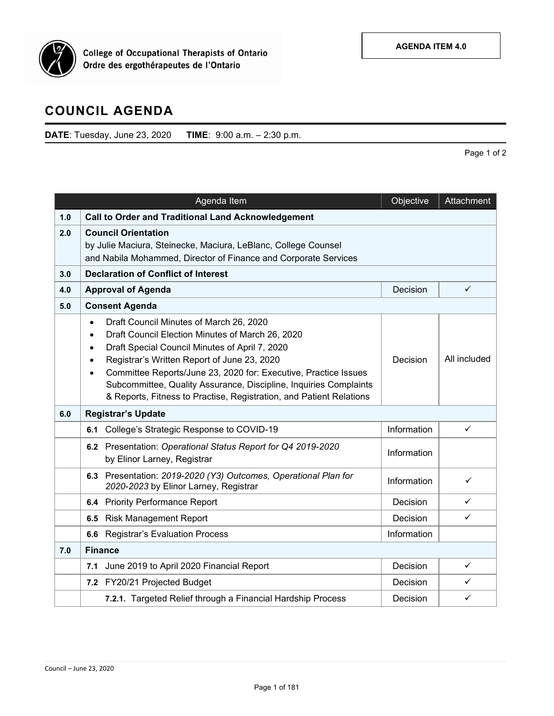

**College of Occupational Therapists of Ontario** Ordre des ergothérapeutes de l'Ontario

## **COUNCIL AGENDA**

**DATE**: Tuesday, June 23, 2020 **TIME**: 9:00 a.m. – 2:30 p.m.

Page 1 of 2

|     | Agenda Item                                                                                                                                                                                                                                                                                                                                                                                                                                                                  | Objective   | Attachment   |
|-----|------------------------------------------------------------------------------------------------------------------------------------------------------------------------------------------------------------------------------------------------------------------------------------------------------------------------------------------------------------------------------------------------------------------------------------------------------------------------------|-------------|--------------|
| 1.0 | <b>Call to Order and Traditional Land Acknowledgement</b>                                                                                                                                                                                                                                                                                                                                                                                                                    |             |              |
| 2.0 | <b>Council Orientation</b><br>by Julie Maciura, Steinecke, Maciura, LeBlanc, College Counsel<br>and Nabila Mohammed, Director of Finance and Corporate Services                                                                                                                                                                                                                                                                                                              |             |              |
| 3.0 | <b>Declaration of Conflict of Interest</b>                                                                                                                                                                                                                                                                                                                                                                                                                                   |             |              |
| 4.0 | <b>Approval of Agenda</b>                                                                                                                                                                                                                                                                                                                                                                                                                                                    | Decision    | $\checkmark$ |
| 5.0 | <b>Consent Agenda</b>                                                                                                                                                                                                                                                                                                                                                                                                                                                        |             |              |
|     | Draft Council Minutes of March 26, 2020<br>$\bullet$<br>Draft Council Election Minutes of March 26, 2020<br>$\bullet$<br>Draft Special Council Minutes of April 7, 2020<br>$\bullet$<br>Registrar's Written Report of June 23, 2020<br>$\bullet$<br>Committee Reports/June 23, 2020 for: Executive, Practice Issues<br>$\bullet$<br>Subcommittee, Quality Assurance, Discipline, Inquiries Complaints<br>& Reports, Fitness to Practise, Registration, and Patient Relations | Decision    | All included |
| 6.0 | <b>Registrar's Update</b>                                                                                                                                                                                                                                                                                                                                                                                                                                                    |             |              |
|     | College's Strategic Response to COVID-19<br>6.1                                                                                                                                                                                                                                                                                                                                                                                                                              | Information | $\checkmark$ |
|     | 6.2 Presentation: Operational Status Report for Q4 2019-2020<br>by Elinor Larney, Registrar                                                                                                                                                                                                                                                                                                                                                                                  | Information |              |
|     | 6.3 Presentation: 2019-2020 (Y3) Outcomes, Operational Plan for<br>2020-2023 by Elinor Larney, Registrar                                                                                                                                                                                                                                                                                                                                                                     | Information | ✓            |
|     | 6.4 Priority Performance Report                                                                                                                                                                                                                                                                                                                                                                                                                                              | Decision    | ✓            |
|     | <b>Risk Management Report</b><br>6.5                                                                                                                                                                                                                                                                                                                                                                                                                                         | Decision    | ✓            |
|     | <b>Registrar's Evaluation Process</b><br>6.6                                                                                                                                                                                                                                                                                                                                                                                                                                 | Information |              |
| 7.0 | <b>Finance</b>                                                                                                                                                                                                                                                                                                                                                                                                                                                               |             |              |
|     | June 2019 to April 2020 Financial Report<br>7.1                                                                                                                                                                                                                                                                                                                                                                                                                              | Decision    | $\checkmark$ |
|     | 7.2 FY20/21 Projected Budget                                                                                                                                                                                                                                                                                                                                                                                                                                                 | Decision    | ✓            |
|     | 7.2.1. Targeted Relief through a Financial Hardship Process                                                                                                                                                                                                                                                                                                                                                                                                                  | Decision    | $\checkmark$ |